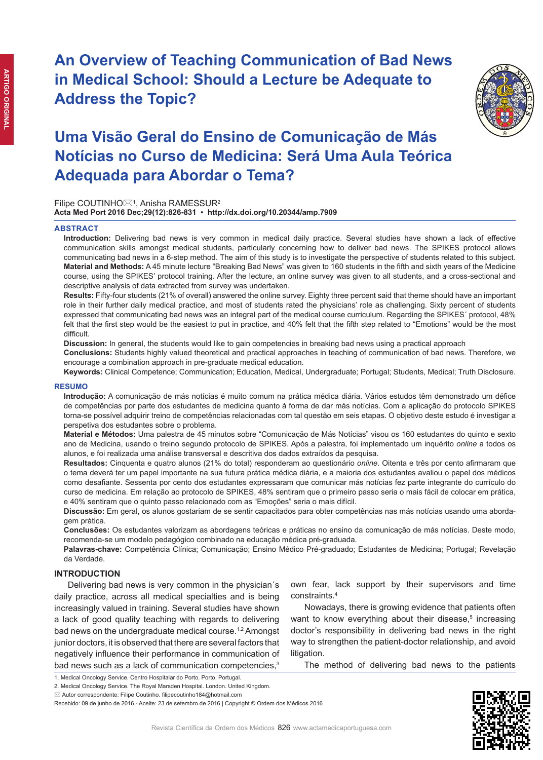

# **Uma Visão Geral do Ensino de Comunicação de Más Notícias no Curso de Medicina: Será Uma Aula Teórica Adequada para Abordar o Tema?**

**Acta Med Port 2016 Dec;29(12):826-831** ▪ **http://dx.doi.org/10.20344/amp.7909**

## **ABSTRACT**

**Introduction:** Delivering bad news is very common in medical daily practice. Several studies have shown a lack of effective communication skills amongst medical students, particularly concerning how to deliver bad news. The SPIKES protocol allows communicating bad news in a 6-step method. The aim of this study is to investigate the perspective of students related to this subject. **Material and Methods:** A 45 minute lecture "Breaking Bad News" was given to 160 students in the fifth and sixth years of the Medicine course, using the SPIKES' protocol training. After the lecture, an online survey was given to all students, and a cross-sectional and descriptive analysis of data extracted from survey was undertaken.

**Results:** Fifty-four students (21% of overall) answered the online survey. Eighty three percent said that theme should have an important role in their further daily medical practice, and most of students rated the physicians' role as challenging. Sixty percent of students expressed that communicating bad news was an integral part of the medical course curriculum. Regarding the SPIKES´ protocol, 48% felt that the first step would be the easiest to put in practice, and 40% felt that the fifth step related to "Emotions" would be the most difficult.

**Discussion:** In general, the students would like to gain competencies in breaking bad news using a practical approach

**Conclusions:** Students highly valued theoretical and practical approaches in teaching of communication of bad news. Therefore, we encourage a combination approach in pre-graduate medical education.

**Keywords:** Clinical Competence; Communication; Education, Medical, Undergraduate; Portugal; Students, Medical; Truth Disclosure.

#### **RESUMO**

**Introdução:** A comunicação de más notícias é muito comum na prática médica diária. Vários estudos têm demonstrado um défice de competências por parte dos estudantes de medicina quanto à forma de dar más notícias. Com a aplicação do protocolo SPIKES torna-se possível adquirir treino de competências relacionadas com tal questão em seis etapas. O objetivo deste estudo é investigar a perspetiva dos estudantes sobre o problema.

**Material e Métodos:** Uma palestra de 45 minutos sobre "Comunicação de Más Notícias" visou os 160 estudantes do quinto e sexto ano de Medicina, usando o treino segundo protocolo de SPIKES. Após a palestra, foi implementado um inquérito *online* a todos os alunos, e foi realizada uma análise transversal e descritiva dos dados extraídos da pesquisa.

**Resultados:** Cinquenta e quatro alunos (21% do total) responderam ao questionário *online*. Oitenta e três por cento afirmaram que o tema deverá ter um papel importante na sua futura prática médica diária, e a maioria dos estudantes avaliou o papel dos médicos como desafiante. Sessenta por cento dos estudantes expressaram que comunicar más notícias fez parte integrante do currículo do curso de medicina. Em relação ao protocolo de SPIKES, 48% sentiram que o primeiro passo seria o mais fácil de colocar em prática, e 40% sentiram que o quinto passo relacionado com as "Emoções" seria o mais difícil.

**Discussão:** Em geral, os alunos gostariam de se sentir capacitados para obter competências nas más notícias usando uma abordagem prática.

**Conclusões:** Os estudantes valorizam as abordagens teóricas e práticas no ensino da comunicação de más notícias. Deste modo, recomenda-se um modelo pedagógico combinado na educação médica pré-graduada.

**Palavras-chave:** Competência Clínica; Comunicação; Ensino Médico Pré-graduado; Estudantes de Medicina; Portugal; Revelação da Verdade.

# **INTRODUCTION**

Delivering bad news is very common in the physician´s daily practice, across all medical specialties and is being increasingly valued in training. Several studies have shown a lack of good quality teaching with regards to delivering bad news on the undergraduate medical course.<sup>1,2</sup> Amongst junior doctors, it is observed that there are several factors that negatively influence their performance in communication of bad news such as a lack of communication competencies,<sup>3</sup>

own fear, lack support by their supervisors and time constraints.4

Nowadays, there is growing evidence that patients often want to know everything about their disease,<sup>5</sup> increasing doctor's responsibility in delivering bad news in the right way to strengthen the patient-doctor relationship, and avoid litigation.

The method of delivering bad news to the patients



Filipe COUTINHO $\boxtimes^{\scriptscriptstyle 1}$ , Anisha RAMESSUR $^{\scriptscriptstyle 2}$ 

<sup>1.</sup> Medical Oncology Service. Centro Hospitalar do Porto. Porto. Portugal.

<sup>2.</sup> Medical Oncology Service. The Royal Marsden Hospital. London. United Kingdom.

 $\boxtimes$  Autor correspondente: Filipe Coutinho. filipecoutinho184@hotmail.com

Recebido: 09 de junho de 2016 - Aceite: 23 de setembro de 2016 | Copyright © Ordem dos Médicos 2016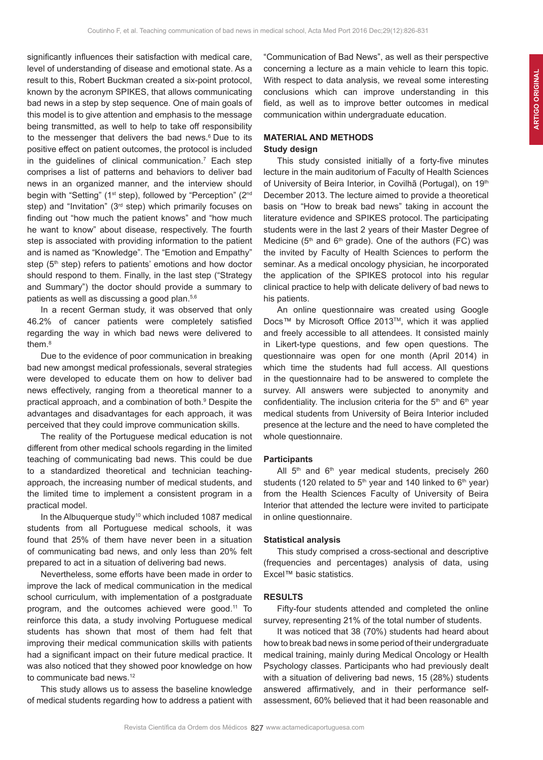significantly influences their satisfaction with medical care, level of understanding of disease and emotional state. As a result to this, Robert Buckman created a six-point protocol, known by the acronym SPIKES, that allows communicating bad news in a step by step sequence. One of main goals of this model is to give attention and emphasis to the message being transmitted, as well to help to take off responsibility to the messenger that delivers the bad news.<sup>6</sup> Due to its positive effect on patient outcomes, the protocol is included in the guidelines of clinical communication.<sup>7</sup> Each step comprises a list of patterns and behaviors to deliver bad news in an organized manner, and the interview should begin with "Setting" (1<sup>st</sup> step), followed by "Perception" (2<sup>nd</sup> step) and "Invitation" (3<sup>rd</sup> step) which primarily focuses on finding out "how much the patient knows" and "how much he want to know" about disease, respectively. The fourth step is associated with providing information to the patient and is named as "Knowledge". The "Emotion and Empathy" step (5<sup>th</sup> step) refers to patients' emotions and how doctor should respond to them. Finally, in the last step ("Strategy and Summary") the doctor should provide a summary to patients as well as discussing a good plan.5,6

In a recent German study, it was observed that only 46.2% of cancer patients were completely satisfied regarding the way in which bad news were delivered to them.<sup>8</sup>

Due to the evidence of poor communication in breaking bad new amongst medical professionals, several strategies were developed to educate them on how to deliver bad news effectively, ranging from a theoretical manner to a practical approach, and a combination of both.<sup>9</sup> Despite the advantages and disadvantages for each approach, it was perceived that they could improve communication skills.

The reality of the Portuguese medical education is not different from other medical schools regarding in the limited teaching of communicating bad news. This could be due to a standardized theoretical and technician teachingapproach, the increasing number of medical students, and the limited time to implement a consistent program in a practical model.

In the Albuquerque study<sup>10</sup> which included 1087 medical students from all Portuguese medical schools, it was found that 25% of them have never been in a situation of communicating bad news, and only less than 20% felt prepared to act in a situation of delivering bad news.

Nevertheless, some efforts have been made in order to improve the lack of medical communication in the medical school curriculum, with implementation of a postgraduate program, and the outcomes achieved were good.<sup>11</sup> To reinforce this data, a study involving Portuguese medical students has shown that most of them had felt that improving their medical communication skills with patients had a significant impact on their future medical practice. It was also noticed that they showed poor knowledge on how to communicate bad news.<sup>12</sup>

This study allows us to assess the baseline knowledge of medical students regarding how to address a patient with

"Communication of Bad News", as well as their perspective concerning a lecture as a main vehicle to learn this topic. With respect to data analysis, we reveal some interesting conclusions which can improve understanding in this field, as well as to improve better outcomes in medical communication within undergraduate education.

# **MATERIAL AND METHODS Study design**

This study consisted initially of a forty-five minutes lecture in the main auditorium of Faculty of Health Sciences of University of Beira Interior, in Covilhã (Portugal), on 19<sup>th</sup> December 2013. The lecture aimed to provide a theoretical basis on "How to break bad news" taking in account the literature evidence and SPIKES protocol. The participating students were in the last 2 years of their Master Degree of Medicine ( $5<sup>th</sup>$  and  $6<sup>th</sup>$  grade). One of the authors (FC) was the invited by Faculty of Health Sciences to perform the seminar. As a medical oncology physician, he incorporated the application of the SPIKES protocol into his regular clinical practice to help with delicate delivery of bad news to his patients.

An online questionnaire was created using Google Docs™ by Microsoft Office 2013™, which it was applied and freely accessible to all attendees. It consisted mainly in Likert-type questions, and few open questions. The questionnaire was open for one month (April 2014) in which time the students had full access. All questions in the questionnaire had to be answered to complete the survey. All answers were subjected to anonymity and confidentiality. The inclusion criteria for the  $5<sup>th</sup>$  and  $6<sup>th</sup>$  year medical students from University of Beira Interior included presence at the lecture and the need to have completed the whole questionnaire.

## **Participants**

All  $5<sup>th</sup>$  and  $6<sup>th</sup>$  year medical students, precisely 260 students (120 related to  $5<sup>th</sup>$  year and 140 linked to  $6<sup>th</sup>$  year) from the Health Sciences Faculty of University of Beira Interior that attended the lecture were invited to participate in online questionnaire.

## **Statistical analysis**

This study comprised a cross-sectional and descriptive (frequencies and percentages) analysis of data, using Excel™ basic statistics.

#### **RESULTS**

Fifty-four students attended and completed the online survey, representing 21% of the total number of students.

It was noticed that 38 (70%) students had heard about how to break bad news in some period of their undergraduate medical training, mainly during Medical Oncology or Health Psychology classes. Participants who had previously dealt with a situation of delivering bad news, 15 (28%) students answered affirmatively, and in their performance selfassessment, 60% believed that it had been reasonable and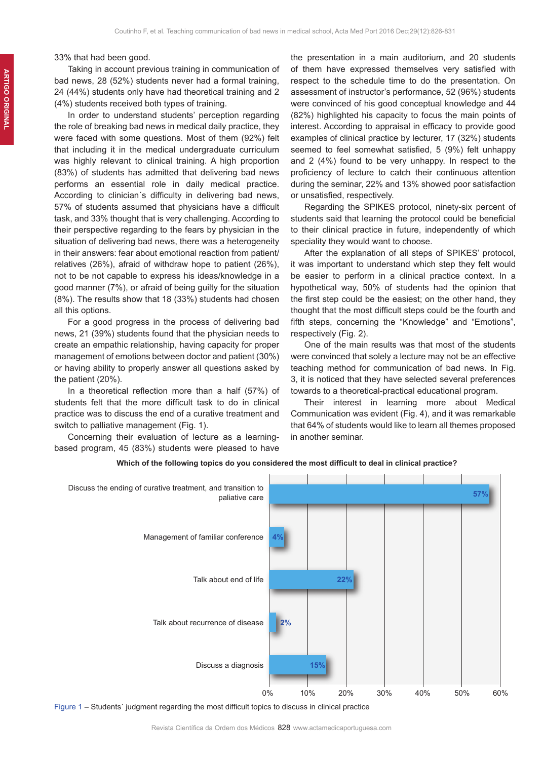33% that had been good.

Taking in account previous training in communication of bad news, 28 (52%) students never had a formal training, 24 (44%) students only have had theoretical training and 2 (4%) students received both types of training.

In order to understand students' perception regarding the role of breaking bad news in medical daily practice, they were faced with some questions. Most of them (92%) felt that including it in the medical undergraduate curriculum was highly relevant to clinical training. A high proportion (83%) of students has admitted that delivering bad news performs an essential role in daily medical practice. According to clinician´s difficulty in delivering bad news, 57% of students assumed that physicians have a difficult task, and 33% thought that is very challenging. According to their perspective regarding to the fears by physician in the situation of delivering bad news, there was a heterogeneity in their answers: fear about emotional reaction from patient/ relatives (26%), afraid of withdraw hope to patient (26%), not to be not capable to express his ideas/knowledge in a good manner (7%), or afraid of being guilty for the situation (8%). The results show that 18 (33%) students had chosen all this options.

For a good progress in the process of delivering bad news, 21 (39%) students found that the physician needs to create an empathic relationship, having capacity for proper management of emotions between doctor and patient (30%) or having ability to properly answer all questions asked by the patient (20%).

In a theoretical reflection more than a half (57%) of students felt that the more difficult task to do in clinical practice was to discuss the end of a curative treatment and switch to palliative management (Fig. 1).

Concerning their evaluation of lecture as a learningbased program, 45 (83%) students were pleased to have

the presentation in a main auditorium, and 20 students of them have expressed themselves very satisfied with respect to the schedule time to do the presentation. On assessment of instructor's performance, 52 (96%) students were convinced of his good conceptual knowledge and 44 (82%) highlighted his capacity to focus the main points of interest. According to appraisal in efficacy to provide good examples of clinical practice by lecturer, 17 (32%) students seemed to feel somewhat satisfied, 5 (9%) felt unhappy and 2 (4%) found to be very unhappy. In respect to the proficiency of lecture to catch their continuous attention during the seminar, 22% and 13% showed poor satisfaction or unsatisfied, respectively.

Regarding the SPIKES protocol, ninety-six percent of students said that learning the protocol could be beneficial to their clinical practice in future, independently of which speciality they would want to choose.

After the explanation of all steps of SPIKES' protocol, it was important to understand which step they felt would be easier to perform in a clinical practice context. In a hypothetical way, 50% of students had the opinion that the first step could be the easiest; on the other hand, they thought that the most difficult steps could be the fourth and fifth steps, concerning the "Knowledge" and "Emotions", respectively (Fig. 2).

One of the main results was that most of the students were convinced that solely a lecture may not be an effective teaching method for communication of bad news. In Fig. 3, it is noticed that they have selected several preferences towards to a theoretical-practical educational program.

Their interest in learning more about Medical Communication was evident (Fig. 4), and it was remarkable that 64% of students would like to learn all themes proposed in another seminar.



**Which of the following topics do you considered the most difficult to deal in clinical practice?**

Figure 1 – Students´ judgment regarding the most difficult topics to discuss in clinical practice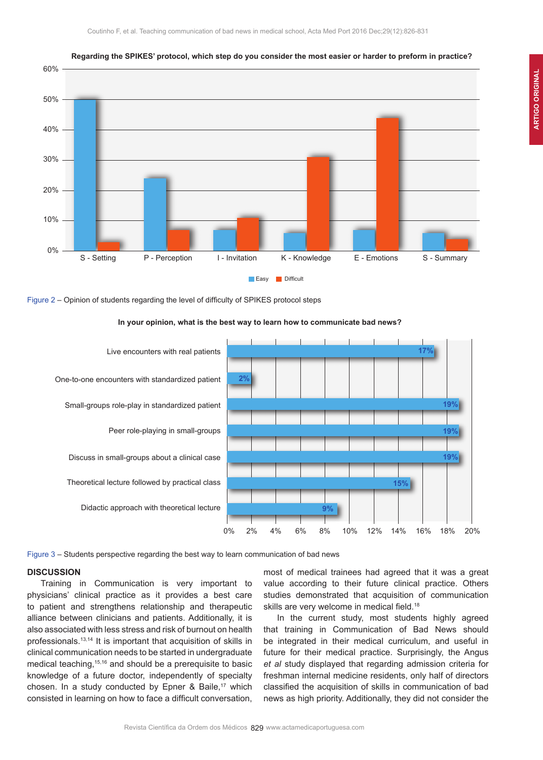

#### **Regarding the SPIKES' protocol, which step do you consider the most easier or harder to preform in practice?**





### **In your opinion, what is the best way to learn how to communicate bad news?**

Figure 3 – Students perspective regarding the best way to learn communication of bad news

# **DISCUSSION**

Training in Communication is very important to physicians' clinical practice as it provides a best care to patient and strengthens relationship and therapeutic alliance between clinicians and patients. Additionally, it is also associated with less stress and risk of burnout on health professionals.13,14 It is important that acquisition of skills in clinical communication needs to be started in undergraduate medical teaching,<sup>15,16</sup> and should be a prerequisite to basic knowledge of a future doctor, independently of specialty chosen. In a study conducted by Epner & Baile,<sup>17</sup> which consisted in learning on how to face a difficult conversation,

most of medical trainees had agreed that it was a great value according to their future clinical practice. Others studies demonstrated that acquisition of communication skills are very welcome in medical field.<sup>18</sup>

In the current study, most students highly agreed that training in Communication of Bad News should be integrated in their medical curriculum, and useful in future for their medical practice. Surprisingly, the Angus *et al* study displayed that regarding admission criteria for freshman internal medicine residents, only half of directors classified the acquisition of skills in communication of bad news as high priority. Additionally, they did not consider the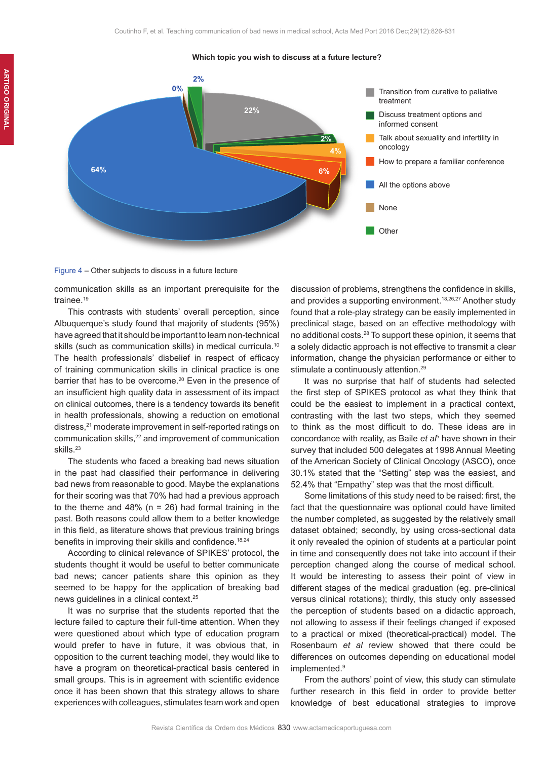



#### Figure 4 – Other subjects to discuss in a future lecture

communication skills as an important prerequisite for the trainee.<sup>19</sup>

This contrasts with students' overall perception, since Albuquerque's study found that majority of students (95%) have agreed that it should be important to learn non-technical skills (such as communication skills) in medical curricula.<sup>10</sup> The health professionals' disbelief in respect of efficacy of training communication skills in clinical practice is one barrier that has to be overcome.<sup>20</sup> Even in the presence of an insufficient high quality data in assessment of its impact on clinical outcomes, there is a tendency towards its benefit in health professionals, showing a reduction on emotional distress,<sup>21</sup> moderate improvement in self-reported ratings on communication skills,<sup>22</sup> and improvement of communication skills.23

The students who faced a breaking bad news situation in the past had classified their performance in delivering bad news from reasonable to good. Maybe the explanations for their scoring was that 70% had had a previous approach to the theme and  $48\%$  (n = 26) had formal training in the past. Both reasons could allow them to a better knowledge in this field, as literature shows that previous training brings benefits in improving their skills and confidence.<sup>18,24</sup>

According to clinical relevance of SPIKES' protocol, the students thought it would be useful to better communicate bad news; cancer patients share this opinion as they seemed to be happy for the application of breaking bad news guidelines in a clinical context.25

It was no surprise that the students reported that the lecture failed to capture their full-time attention. When they were questioned about which type of education program would prefer to have in future, it was obvious that, in opposition to the current teaching model, they would like to have a program on theoretical-practical basis centered in small groups. This is in agreement with scientific evidence once it has been shown that this strategy allows to share experiences with colleagues, stimulates team work and open discussion of problems, strengthens the confidence in skills, and provides a supporting environment.<sup>18,26,27</sup> Another study found that a role-play strategy can be easily implemented in preclinical stage, based on an effective methodology with no additional costs.<sup>28</sup> To support these opinion, it seems that a solely didactic approach is not effective to transmit a clear information, change the physician performance or either to stimulate a continuously attention.<sup>29</sup>

It was no surprise that half of students had selected the first step of SPIKES protocol as what they think that could be the easiest to implement in a practical context, contrasting with the last two steps, which they seemed to think as the most difficult to do. These ideas are in concordance with reality, as Baile *et al*<sup>5</sup> have shown in their survey that included 500 delegates at 1998 Annual Meeting of the American Society of Clinical Oncology (ASCO), once 30.1% stated that the "Setting" step was the easiest, and 52.4% that "Empathy" step was that the most difficult.

Some limitations of this study need to be raised: first, the fact that the questionnaire was optional could have limited the number completed, as suggested by the relatively small dataset obtained; secondly, by using cross-sectional data it only revealed the opinion of students at a particular point in time and consequently does not take into account if their perception changed along the course of medical school. It would be interesting to assess their point of view in different stages of the medical graduation (eg. pre-clinical versus clinical rotations); thirdly, this study only assessed the perception of students based on a didactic approach, not allowing to assess if their feelings changed if exposed to a practical or mixed (theoretical-practical) model. The Rosenbaum *et al* review showed that there could be differences on outcomes depending on educational model implemented.9

From the authors' point of view, this study can stimulate further research in this field in order to provide better knowledge of best educational strategies to improve